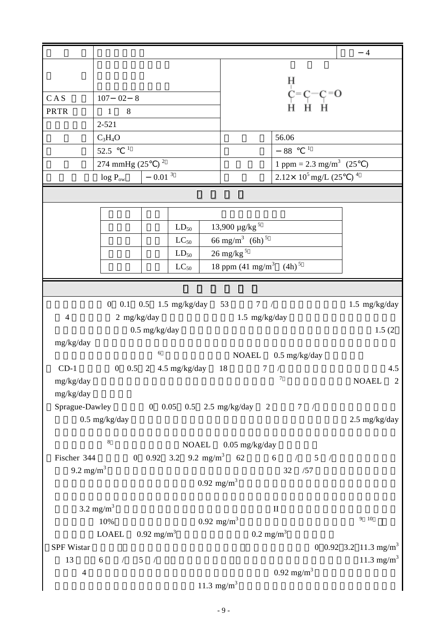|                             |                                                     |                       |                                  |                                                                                                                                      |                                   |                                           | $\overline{4}$                    |
|-----------------------------|-----------------------------------------------------|-----------------------|----------------------------------|--------------------------------------------------------------------------------------------------------------------------------------|-----------------------------------|-------------------------------------------|-----------------------------------|
|                             |                                                     |                       |                                  |                                                                                                                                      |                                   |                                           |                                   |
|                             |                                                     |                       |                                  | H                                                                                                                                    |                                   |                                           |                                   |
| CAS                         | 02<br>8<br>107                                      |                       |                                  | $\overrightarrow{C} = \overrightarrow{C} - \overrightarrow{C} = 0$<br>$\overrightarrow{H}$ $\overrightarrow{H}$ $\overrightarrow{H}$ |                                   |                                           |                                   |
| <b>PRTR</b>                 | $\,8\,$<br>$\mathbf{1}$                             |                       |                                  |                                                                                                                                      |                                   |                                           |                                   |
|                             | 2-521                                               |                       |                                  |                                                                                                                                      |                                   |                                           |                                   |
|                             | $C_3H_4O$                                           |                       |                                  |                                                                                                                                      |                                   | 56.06                                     |                                   |
|                             | $\mathbf{1}$<br>52.5                                |                       |                                  |                                                                                                                                      | $\mathbf{1}$<br>88                |                                           |                                   |
| 274 mmHg $(25)^2$           |                                                     |                       |                                  |                                                                                                                                      | 1 ppm = $2.3 \text{ mg/m}^3$ (25) |                                           |                                   |
|                             | $\log\,P_{\rm{ow}}$                                 | $0.01$ $^3\,$         |                                  |                                                                                                                                      |                                   | $2.12 \times 10^5$ mg/L (25) <sup>4</sup> |                                   |
|                             |                                                     |                       |                                  |                                                                                                                                      |                                   |                                           |                                   |
|                             |                                                     |                       |                                  |                                                                                                                                      |                                   |                                           |                                   |
|                             |                                                     | $LD_{50}$             | $13,900 \mu g/kg^5$              |                                                                                                                                      |                                   |                                           |                                   |
|                             | 66 mg/m <sup>3</sup> (6h) <sup>5</sup><br>$LC_{50}$ |                       |                                  |                                                                                                                                      |                                   |                                           |                                   |
|                             | $26$ mg/kg $^{\rm 5}$<br>$LD_{50}$                  |                       |                                  |                                                                                                                                      |                                   |                                           |                                   |
|                             | $LC_{50}$                                           |                       |                                  |                                                                                                                                      |                                   | 18 ppm $(41 \text{ mg/m}^3$ $(4h)^5$      |                                   |
|                             |                                                     |                       |                                  |                                                                                                                                      |                                   |                                           |                                   |
|                             |                                                     |                       | 0 0.1 0.5 1.5 mg/kg/day 53       |                                                                                                                                      | 7 /                               |                                           | $1.5 \text{ mg/kg/day}$           |
| $\overline{4}$              | 2 mg/kg/day                                         |                       |                                  |                                                                                                                                      | $1.5$ mg/kg/day                   |                                           |                                   |
|                             |                                                     | $0.5$ mg/kg/day       |                                  |                                                                                                                                      |                                   |                                           | 1.5(2)                            |
| mg/kg/day                   |                                                     |                       |                                  |                                                                                                                                      |                                   |                                           |                                   |
|                             |                                                     | $\sqrt{6}$            |                                  |                                                                                                                                      |                                   | NOAEL 0.5 mg/kg/day                       |                                   |
| $CD-1$                      | 0 0.5 2 4.5 mg/kg/day 18                            |                       |                                  |                                                                                                                                      | 7                                 |                                           | 4.5                               |
| mg/kg/day                   |                                                     |                       |                                  |                                                                                                                                      |                                   | $7\phantom{.0}$                           | NOAEL<br>2                        |
| mg/kg/day<br>Sprague-Dawley |                                                     |                       | 0 0.05 0.5 2.5 mg/kg/day 2 7 /   |                                                                                                                                      |                                   |                                           |                                   |
|                             | $0.5$ mg/kg/day                                     |                       |                                  |                                                                                                                                      |                                   |                                           | $2.5 \text{ mg/kg/day}$           |
|                             |                                                     |                       |                                  |                                                                                                                                      |                                   |                                           |                                   |
|                             | $\,$ 8 $\,$                                         |                       | <b>NOAEL</b>                     |                                                                                                                                      | $0.05$ mg/kg/day                  |                                           |                                   |
| Fischer 344                 |                                                     |                       | 0 0.92 3.2 9.2 mg/m <sup>3</sup> | 62                                                                                                                                   | 6                                 | $/$ 5 $/$                                 |                                   |
| 9.2 mg/m <sup>3</sup>       |                                                     |                       |                                  |                                                                                                                                      |                                   | 32<br>/57                                 |                                   |
|                             |                                                     |                       | $0.92 \text{ mg/m}^3$            |                                                                                                                                      |                                   |                                           |                                   |
|                             |                                                     |                       |                                  |                                                                                                                                      |                                   |                                           |                                   |
|                             | $3.2 \text{ mg/m}^3$<br>10%                         |                       | $0.92 \text{ mg/m}^3$            |                                                                                                                                      | $\rm II$                          |                                           | $9 - 10$                          |
|                             | <b>LOAEL</b>                                        | $0.92 \text{ mg/m}^3$ |                                  |                                                                                                                                      | $0.2 \text{ mg/m}^3$              |                                           |                                   |
| <b>SPF Wistar</b>           |                                                     |                       |                                  |                                                                                                                                      |                                   |                                           | 0 0.92 3.2 11.3 mg/m <sup>3</sup> |
| 13                          | 6<br>$/$ 5 $/$                                      |                       |                                  |                                                                                                                                      |                                   |                                           | 11.3 mg/m <sup>3</sup>            |
| $\overline{4}$              |                                                     |                       |                                  |                                                                                                                                      |                                   | $0.92 \text{ mg/m}^3$                     |                                   |
|                             |                                                     |                       | 11.3 mg/m <sup>3</sup>           |                                                                                                                                      |                                   |                                           |                                   |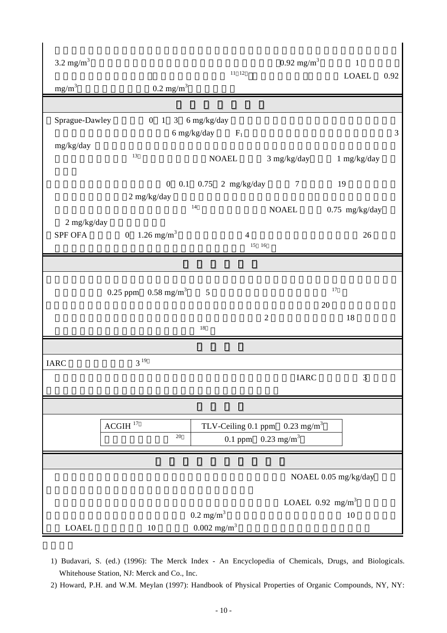| $3.2 \text{ mg/m}^3$     |                                 |                                                   |                        | $0.92 \text{ mg/m}^3$                                                         | $\mathbf{1}$                   |               |
|--------------------------|---------------------------------|---------------------------------------------------|------------------------|-------------------------------------------------------------------------------|--------------------------------|---------------|
| $mg/m^3$                 | $0.2$ mg/m <sup>3</sup>         |                                                   | $11\quad12$            |                                                                               | <b>LOAEL</b>                   | 0.92          |
|                          |                                 |                                                   |                        |                                                                               |                                |               |
| Sprague-Dawley           | 0 1 3 $6 \text{ mg/kg/day}$     | 6 mg/kg/day $F_1$                                 |                        |                                                                               |                                | $\mathfrak 3$ |
| mg/kg/day                | $13\,$                          |                                                   | <b>NOAEL</b>           |                                                                               | 3 mg/kg/day 1 mg/kg/day        |               |
|                          | $\mathbf{0}$<br>$2$ mg/kg/day   |                                                   | 0.1 $0.75$ 2 mg/kg/day | $\overline{7}$                                                                | 19                             |               |
|                          |                                 | 14                                                |                        | <b>NOAEL</b>                                                                  | $0.75$ mg/kg/day               |               |
| $2$ mg/kg/day<br>SPF OFA | 0 1.26 mg/m <sup>3</sup>        |                                                   | $\overline{4}$         | 15 16                                                                         | 26                             |               |
|                          |                                 |                                                   |                        |                                                                               |                                |               |
|                          | 0.25 ppm $0.58 \text{ mg/m}^3$  | $\overline{5}$                                    |                        |                                                                               | $17\,$<br>20                   |               |
|                          |                                 | $18\,$                                            |                        | $\overline{2}$                                                                | 18                             |               |
|                          |                                 |                                                   |                        |                                                                               |                                |               |
| <b>IARC</b>              | $3^{19}$                        |                                                   |                        |                                                                               |                                |               |
|                          |                                 |                                                   |                        | <b>IARC</b>                                                                   | $\mathfrak{Z}$                 |               |
|                          |                                 |                                                   |                        |                                                                               |                                |               |
|                          | $ACGIH$ <sup>17</sup><br>$20\,$ |                                                   |                        | TLV-Ceiling 0.1 ppm $0.23$ mg/m <sup>3</sup><br>0.1 ppm $0.23 \text{ mg/m}^3$ |                                |               |
|                          |                                 |                                                   |                        |                                                                               |                                |               |
|                          |                                 |                                                   |                        |                                                                               | NOAEL 0.05 mg/kg/day           |               |
|                          |                                 |                                                   |                        |                                                                               | LOAEL $0.92$ mg/m <sup>3</sup> |               |
| <b>LOAEL</b>             | 10                              | $0.2 \text{ mg/m}^3$<br>$0.002$ mg/m <sup>3</sup> |                        |                                                                               | 10                             |               |

1) Budavari, S. (ed.) (1996): The Merck Index - An Encyclopedia of Chemicals, Drugs, and Biologicals. Whitehouse Station, NJ: Merck and Co., Inc.

2) Howard, P.H. and W.M. Meylan (1997): Handbook of Physical Properties of Organic Compounds, NY, NY: